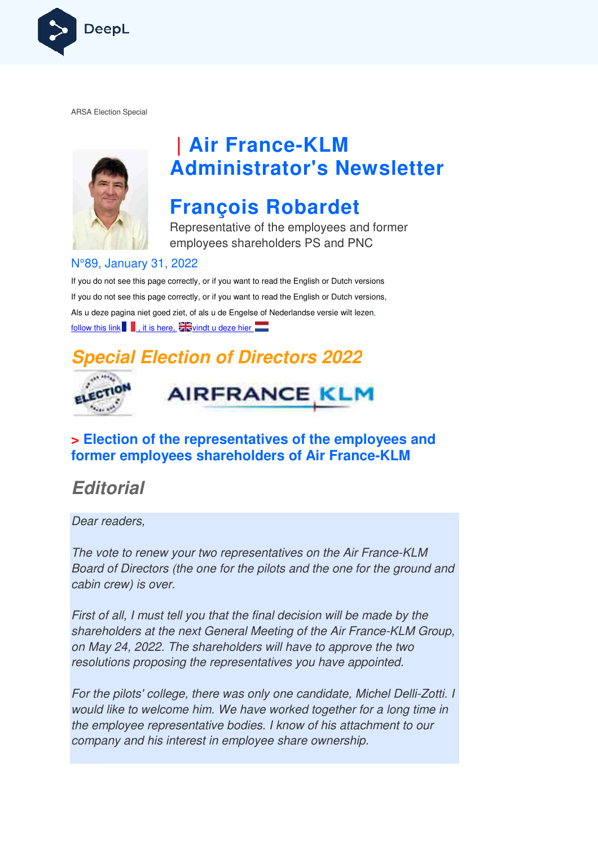

ARSA Election Special



## **| Air France France-KLM Administrator's Newsletter**

## **François Robardet**

Representative of the employees and former employees shareholders PS and PNC

#### N°89, January 31, 2022

If you do not see this page correctly, or if you want to read the English or Dutch versions If you do not see this page correctly, or if you want to read the English or Dutch versions, Als u deze pagina niet goed ziet, of als u de Engelse of Nederlandse versie wilt lezen, follow this link  $\blacksquare$ , it is here,  $\geq$  vindt u deze hier

### **Special Election of Directors 2022**





#### **> Election of the representatives of the employees and former employees shareholders of Air France France-KLM**

### **Editorial**

Dear readers,

The vote to renew your two representatives on the Air France-KLM Board of Directors (the one for the pilots and the one for the ground and cabin crew) is over.

First of all, I must tell you that the final decision will be made by the shareholders at the next General Meeting of the Air France-KLM Group, on May 24, 2022. The shareholders will have to approve the two resolutions proposing the representatives you have appointed. eholders at the next General Meeting of the Air France-KLM Group<br>lay 24, 2022. The shareholders will have to approve the two<br>lutions proposing the representatives you have appointed.<br>the pilots' college, there was only one

For the pilots' college, there was only one candidate, Michel Delli Delli-Zotti. I would like to welcome him. We have worked together for a long time in the employee representative bodies. I know of his attachment to our company and his interest in employee share ownership.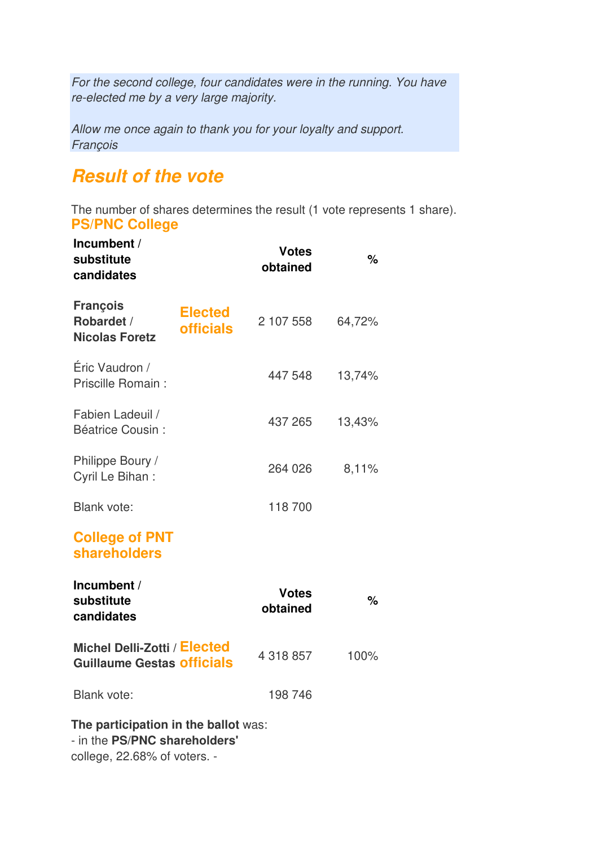For the second college, four candidates were in the running. You have re-elected me by a very large majority.

Allow me once again to thank you for your loyalty and support. François

### **Result of the vote**

The number of shares determines the result (1 vote represents 1 share). **PS/PNC College**

| Incumbent /<br>substitute<br>candidates                               |                                    | <b>Votes</b><br>obtained | %      |
|-----------------------------------------------------------------------|------------------------------------|--------------------------|--------|
| <b>François</b><br>Robardet /<br><b>Nicolas Foretz</b>                | <b>Elected</b><br><b>officials</b> | 2 107 558                | 64,72% |
| Éric Vaudron /<br>Priscille Romain:                                   |                                    | 447 548                  | 13,74% |
| Fabien Ladeuil /<br><b>Béatrice Cousin:</b>                           |                                    | 437 265                  | 13,43% |
| Philippe Boury /<br>Cyril Le Bihan:                                   |                                    | 264 026                  | 8,11%  |
| <b>Blank vote:</b>                                                    |                                    | 118700                   |        |
| <b>College of PNT</b><br><b>shareholders</b>                          |                                    |                          |        |
| Incumbent /<br>substitute<br>candidates                               |                                    | <b>Votes</b><br>obtained | $\%$   |
| Michel Delli-Zotti / Elected<br><b>Guillaume Gestas officials</b>     |                                    | 4 318 857                | 100%   |
| <b>Blank vote:</b>                                                    |                                    | 198 746                  |        |
| The participation in the ballot was:<br>- in the PS/PNC shareholders' |                                    |                          |        |

college, 22.68% of voters. -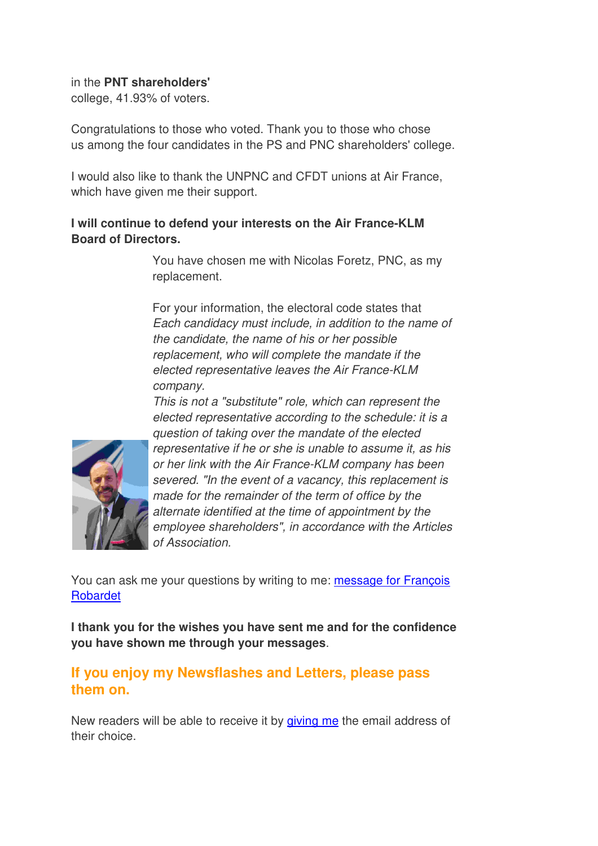#### in the **PNT shareholders'**

college, 41.93% of voters.

Congratulations to those who voted. Thank you to those who chose us among the four candidates in the PS and PNC shareholders' college.

I would also like to thank the UNPNC and CFDT unions at Air France, which have given me their support.

#### **I will continue to defend your interests on the Air France-KLM Board of Directors.**

You have chosen me with Nicolas Foretz, PNC, as my replacement.

For your information, the electoral code states that Each candidacy must include, in addition to the name of the candidate, the name of his or her possible replacement, who will complete the mandate if the elected representative leaves the Air France-KLM company.

This is not a "substitute" role, which can represent the elected representative according to the schedule: it is a question of taking over the mandate of the elected representative if he or she is unable to assume it, as his or her link with the Air France-KLM company has been severed. "In the event of a vacancy, this replacement is made for the remainder of the term of office by the

alternate identified at the time of appointment by the employee shareholders", in accordance with the Articles of Association.

You can ask me your questions by writing to me: message for François Robardet

**I thank you for the wishes you have sent me and for the confidence you have shown me through your messages**.

#### **If you enjoy my Newsflashes and Letters, please pass them on.**

New readers will be able to receive it by giving me the email address of their choice.